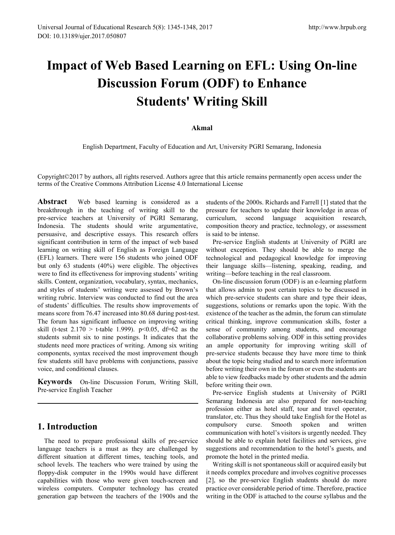# **Impact of Web Based Learning on EFL: Using On-line Discussion Forum (ODF) to Enhance Students' Writing Skill**

#### **Akmal**

English Department, Faculty of Education and Art, University PGRI Semarang, Indonesia

Copyright©2017 by authors, all rights reserved. Authors agree that this article remains permanently open access under the terms of the Creative Commons Attribution License 4.0 International License

**Abstract** Web based learning is considered as a breakthrough in the teaching of writing skill to the pre-service teachers at University of PGRI Semarang, Indonesia. The students should write argumentative, persuasive, and descriptive essays. This research offers significant contribution in term of the impact of web based learning on writing skill of English as Foreign Language (EFL) learners. There were 156 students who joined ODF but only 63 students (40%) were eligible. The objectives were to find its effectiveness for improving students' writing skills. Content, organization, vocabulary, syntax, mechanics, and styles of students' writing were assessed by Brown's writing rubric. Interview was conducted to find out the area of students' difficulties. The results show improvements of means score from 76.47 increased into 80.68 during post-test. The forum has significant influence on improving writing skill (t-test  $2.170 >$  t-table 1.999). p<0.05, df=62 as the students submit six to nine postings. It indicates that the students need more practices of writing. Among six writing components, syntax received the most improvement though few students still have problems with conjunctions, passive voice, and conditional clauses.

**Keywords** On-line Discussion Forum, Writing Skill, Pre-service English Teacher

## **1. Introduction**

The need to prepare professional skills of pre-service language teachers is a must as they are challenged by different situation at different times, teaching tools, and school levels. The teachers who were trained by using the floppy-disk computer in the 1990s would have different capabilities with those who were given touch-screen and wireless computers. Computer technology has created generation gap between the teachers of the 1900s and the students of the 2000s. Richards and Farrell [1] stated that the pressure for teachers to update their knowledge in areas of curriculum, second language acquisition research, composition theory and practice, technology, or assessment is said to be intense.

Pre-service English students at University of PGRI are without exception. They should be able to merge the technological and pedagogical knowledge for improving their language skills—listening, speaking, reading, and writing—before teaching in the real classroom.

On-line discussion forum (ODF) is an e-learning platform that allows admin to post certain topics to be discussed in which pre-service students can share and type their ideas, suggestions, solutions or remarks upon the topic. With the existence of the teacher as the admin, the forum can stimulate critical thinking, improve communication skills, foster a sense of community among students, and encourage collaborative problems solving. ODF in this setting provides an ample opportunity for improving writing skill of pre-service students because they have more time to think about the topic being studied and to search more information before writing their own in the forum or even the students are able to view feedbacks made by other students and the admin before writing their own.

Pre-service English students at University of PGRI Semarang Indonesia are also prepared for non-teaching profession either as hotel staff, tour and travel operator, translator, etc. Thus they should take English for the Hotel as compulsory curse. Smooth spoken and written communication with hotel's visitors is urgently needed. They should be able to explain hotel facilities and services, give suggestions and recommendation to the hotel's guests, and promote the hotel in the printed media.

Writing skill is not spontaneous skill or acquired easily but it needs complex procedure and involves cognitive processes [2], so the pre-service English students should do more practice over considerable period of time. Therefore, practice writing in the ODF is attached to the course syllabus and the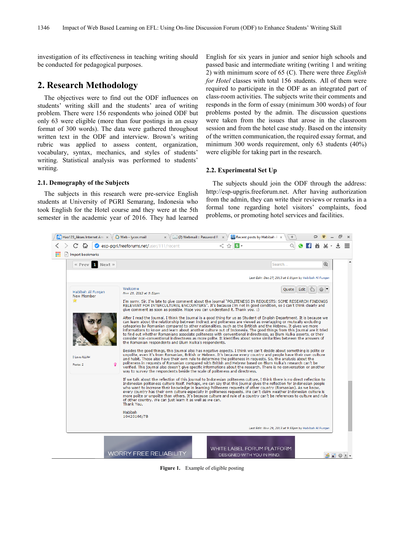investigation of its effectiveness in teaching writing should be conducted for pedagogical purposes.

## **2. Research Methodology**

The objectives were to find out the ODF influences on students' writing skill and the students' area of writing problem. There were 156 respondents who joined ODF but only 63 were eligible (more than four postings in an essay format of 300 words). The data were gathered throughout written text in the ODF and interview. Brown's writing rubric was applied to assess content, organization, vocabulary, syntax, mechanics, and styles of students' writing. Statistical analysis was performed to students' writing.

English for six years in junior and senior high schools and passed basic and intermediate writing (writing 1 and writing 2) with minimum score of 65 (C). There were three *English for Hotel* classes with total 156 students. All of them were required to participate in the ODF as an integrated part of class-room activities. The subjects write their comments and responds in the form of essay (minimum 300 words) of four problems posted by the admin. The discussion questions were taken from the issues that arose in the classroom session and from the hotel case study. Based on the intensity of the written communication, the required essay format, and minimum 300 words requirement, only 63 students (40%) were eligible for taking part in the research.

#### **2.2. Experimental Set Up**

#### **2.1. Demography of the Subjects**

The subjects in this research were pre-service English students at University of PGRI Semarang, Indonesia who took English for the Hotel course and they were at the 5th semester in the academic year of 2016. They had learned

The subjects should join the ODF through the address: http://esp-upgris.freeforum.net. After having authorization from the admin, they can write their reviews or remarks in a formal tone regarding hotel visitors' complaints, food problems, or promoting hotel services and facilities.



**Figure 1.** Example of eligible posting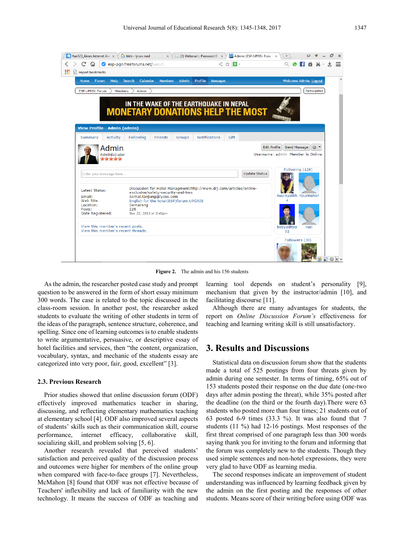| $\left  \cdot \right $ Hao123_Akses Internet Am $\times$ $\vee$                            | Web - lycos mail                                                                                                                                                                                  | $\boxtimes$ (2) Webmail :: Password R $\;\times\;\forall$<br>cb Admin   ESP-UPRIS- Foru x | ÷                                                                                                |
|--------------------------------------------------------------------------------------------|---------------------------------------------------------------------------------------------------------------------------------------------------------------------------------------------------|-------------------------------------------------------------------------------------------|--------------------------------------------------------------------------------------------------|
| C<br>⇔                                                                                     | esp-pari.freeforums.net/user/1                                                                                                                                                                    | $<$ $\circ$ $\mathbf{s}$ $\cdot$                                                          | $\Omega$                                                                                         |
| $\Box$ Import bookmarks                                                                    |                                                                                                                                                                                                   |                                                                                           |                                                                                                  |
| Home<br><b>Forum</b><br><b>Help</b>                                                        | <b>Calendar</b><br><b>Members</b><br><b>Admin</b><br><b>Search</b>                                                                                                                                | <b>Profile</b><br><b>Messages</b>                                                         | Welcome Admin. Logout                                                                            |
| ESP-UPRIS- Forum<br><b>Members</b>                                                         | <b>Admin</b>                                                                                                                                                                                      |                                                                                           | Participated                                                                                     |
|                                                                                            | IN THE WAKE OF THE EARTHOUAKE IN NEPAL<br><b>MONETARY DONATIONS HELP THE MOST</b>                                                                                                                 |                                                                                           |                                                                                                  |
| View Profile - Admin (admin)                                                               |                                                                                                                                                                                                   |                                                                                           |                                                                                                  |
| Activity<br>Summary                                                                        | Following<br>Friends<br><b>Groups</b>                                                                                                                                                             | <b>Notifications</b><br>Gift                                                              |                                                                                                  |
| Admin<br>Administrator<br>****<br>Enter your message here                                  |                                                                                                                                                                                                   | <b>Update Status</b>                                                                      | <b>Edit Profile</b><br>Send Message<br>◎▼<br>Username: admin Member is Online<br>Following (126) |
| Latest Status:<br>Email:<br>Web Site:<br>Location:<br>Posts:                               | Discussion for Hotel Managment: http://www.drj.com/articles/online-<br>exclusive/safety-security-and-loss<br>Akmal.tanjung@lycos.com<br>English for the hotel(ESP)forum.UPGRIS<br>Semarang<br>226 |                                                                                           | nuursyaikh itaunnahar<br>a                                                                       |
| Date Registered:<br>View this member's recent posts.<br>View this member's recent threads. | Nov 22, 2013 at 3:48pm                                                                                                                                                                            |                                                                                           | bobyaditya<br>rusi<br>02                                                                         |
|                                                                                            |                                                                                                                                                                                                   |                                                                                           | Followers (30)<br>● ● ● ● ● ●                                                                    |

Figure 2. The admin and his 156 students

As the admin, the researcher posted case study and prompt question to be answered in the form of short essay minimum 300 words. The case is related to the topic discussed in the class-room session. In another post, the researcher asked students to evaluate the writing of other students in term of the ideas of the paragraph, sentence structure, coherence, and spelling. Since one of learning outcomes is to enable students to write argumentative, persuasive, or descriptive essay of hotel facilities and services, then "the content, organization, vocabulary, syntax, and mechanic of the students essay are categorized into very poor, fair, good, excellent" [3].

#### **2.3. Previous Research**

Prior studies showed that online discussion forum (ODF) effectively improved mathematics teacher in sharing, discussing, and reflecting elementary mathematics teaching at elementary school [4]. ODF also improved several aspects of students' skills such as their communication skill, course performance, internet efficacy, collaborative skill, socializing skill, and problem solving [5, 6].

Another research revealed that perceived students' satisfaction and perceived quality of the discussion process and outcomes were higher for members of the online group when compared with face-to-face groups [7]. Nevertheless, McMahon [8] found that ODF was not effective because of Teachers' inflexibility and lack of familiarity with the new technology. It means the success of ODF as teaching and

learning tool depends on student's personality [9], mechanism that given by the instructor/admin [10], and facilitating discourse [11].

Although there are many advantages for students, the report on *Online Discussion Forum's* effectiveness for teaching and learning writing skill is still unsatisfactory.

## **3. Results and Discussions**

Statistical data on discussion forum show that the students made a total of 525 postings from four threats given by admin during one semester. In terms of timing, 65% out of 153 students posted their response on the due date (one-two days after admin posting the threat), while 35% posted after the deadline (on the third or the fourth day).There were 63 students who posted more than four times; 21 students out of 63 posted 6-9 times (33.3 %). It was also found that 7 students (11 %) had 12-16 postings. Most responses of the first threat comprised of one paragraph less than 300 words saying thank you for inviting to the forum and informing that the forum was completely new to the students. Though they used simple sentences and non-hotel expressions, they were very glad to have ODF as learning media.

The second responses indicate an improvement of student understanding was influenced by learning feedback given by the admin on the first posting and the responses of other students. Means score of their writing before using ODF was